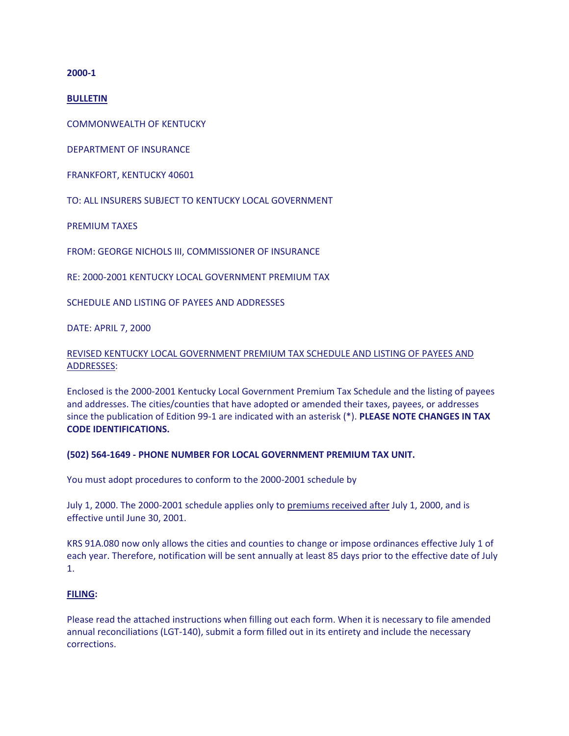**2000-1**

**BULLETIN**

COMMONWEALTH OF KENTUCKY

DEPARTMENT OF INSURANCE

FRANKFORT, KENTUCKY 40601

TO: ALL INSURERS SUBJECT TO KENTUCKY LOCAL GOVERNMENT

PREMIUM TAXES

FROM: GEORGE NICHOLS III, COMMISSIONER OF INSURANCE

RE: 2000-2001 KENTUCKY LOCAL GOVERNMENT PREMIUM TAX

SCHEDULE AND LISTING OF PAYEES AND ADDRESSES

DATE: APRIL 7, 2000

## REVISED KENTUCKY LOCAL GOVERNMENT PREMIUM TAX SCHEDULE AND LISTING OF PAYEES AND ADDRESSES:

Enclosed is the 2000-2001 Kentucky Local Government Premium Tax Schedule and the listing of payees and addresses. The cities/counties that have adopted or amended their taxes, payees, or addresses since the publication of Edition 99-1 are indicated with an asterisk (\*). **PLEASE NOTE CHANGES IN TAX CODE IDENTIFICATIONS.** 

#### **(502) 564-1649 - PHONE NUMBER FOR LOCAL GOVERNMENT PREMIUM TAX UNIT.**

You must adopt procedures to conform to the 2000-2001 schedule by

July 1, 2000. The 2000-2001 schedule applies only to premiums received after July 1, 2000, and is effective until June 30, 2001.

KRS 91A.080 now only allows the cities and counties to change or impose ordinances effective July 1 of each year. Therefore, notification will be sent annually at least 85 days prior to the effective date of July 1.

#### **FILING:**

Please read the attached instructions when filling out each form. When it is necessary to file amended annual reconciliations (LGT-140), submit a form filled out in its entirety and include the necessary corrections.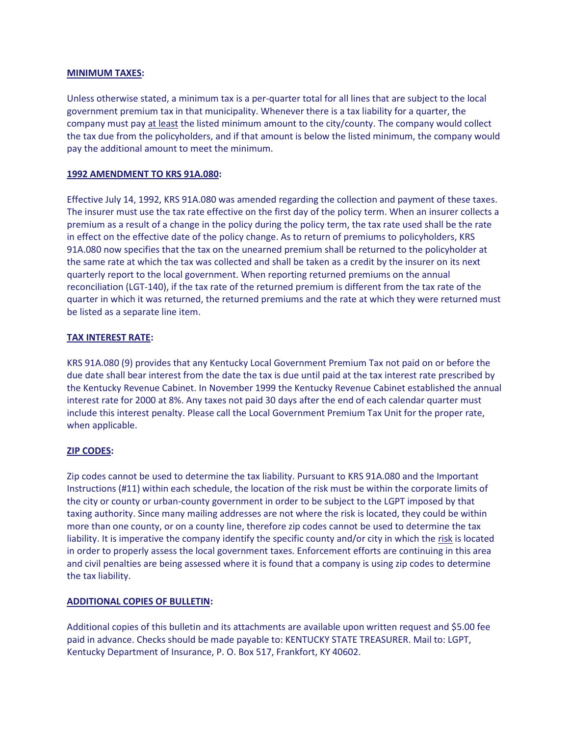#### **MINIMUM TAXES:**

Unless otherwise stated, a minimum tax is a per-quarter total for all lines that are subject to the local government premium tax in that municipality. Whenever there is a tax liability for a quarter, the company must pay at least the listed minimum amount to the city/county. The company would collect the tax due from the policyholders, and if that amount is below the listed minimum, the company would pay the additional amount to meet the minimum.

### **1992 AMENDMENT TO KRS 91A.080:**

Effective July 14, 1992, KRS 91A.080 was amended regarding the collection and payment of these taxes. The insurer must use the tax rate effective on the first day of the policy term. When an insurer collects a premium as a result of a change in the policy during the policy term, the tax rate used shall be the rate in effect on the effective date of the policy change. As to return of premiums to policyholders, KRS 91A.080 now specifies that the tax on the unearned premium shall be returned to the policyholder at the same rate at which the tax was collected and shall be taken as a credit by the insurer on its next quarterly report to the local government. When reporting returned premiums on the annual reconciliation (LGT-140), if the tax rate of the returned premium is different from the tax rate of the quarter in which it was returned, the returned premiums and the rate at which they were returned must be listed as a separate line item.

### **TAX INTEREST RATE:**

KRS 91A.080 (9) provides that any Kentucky Local Government Premium Tax not paid on or before the due date shall bear interest from the date the tax is due until paid at the tax interest rate prescribed by the Kentucky Revenue Cabinet. In November 1999 the Kentucky Revenue Cabinet established the annual interest rate for 2000 at 8%. Any taxes not paid 30 days after the end of each calendar quarter must include this interest penalty. Please call the Local Government Premium Tax Unit for the proper rate, when applicable.

### **ZIP CODES:**

Zip codes cannot be used to determine the tax liability. Pursuant to KRS 91A.080 and the Important Instructions (#11) within each schedule, the location of the risk must be within the corporate limits of the city or county or urban-county government in order to be subject to the LGPT imposed by that taxing authority. Since many mailing addresses are not where the risk is located, they could be within more than one county, or on a county line, therefore zip codes cannot be used to determine the tax liability. It is imperative the company identify the specific county and/or city in which the risk is located in order to properly assess the local government taxes. Enforcement efforts are continuing in this area and civil penalties are being assessed where it is found that a company is using zip codes to determine the tax liability.

### **ADDITIONAL COPIES OF BULLETIN:**

Additional copies of this bulletin and its attachments are available upon written request and \$5.00 fee paid in advance. Checks should be made payable to: KENTUCKY STATE TREASURER. Mail to: LGPT, Kentucky Department of Insurance, P. O. Box 517, Frankfort, KY 40602.